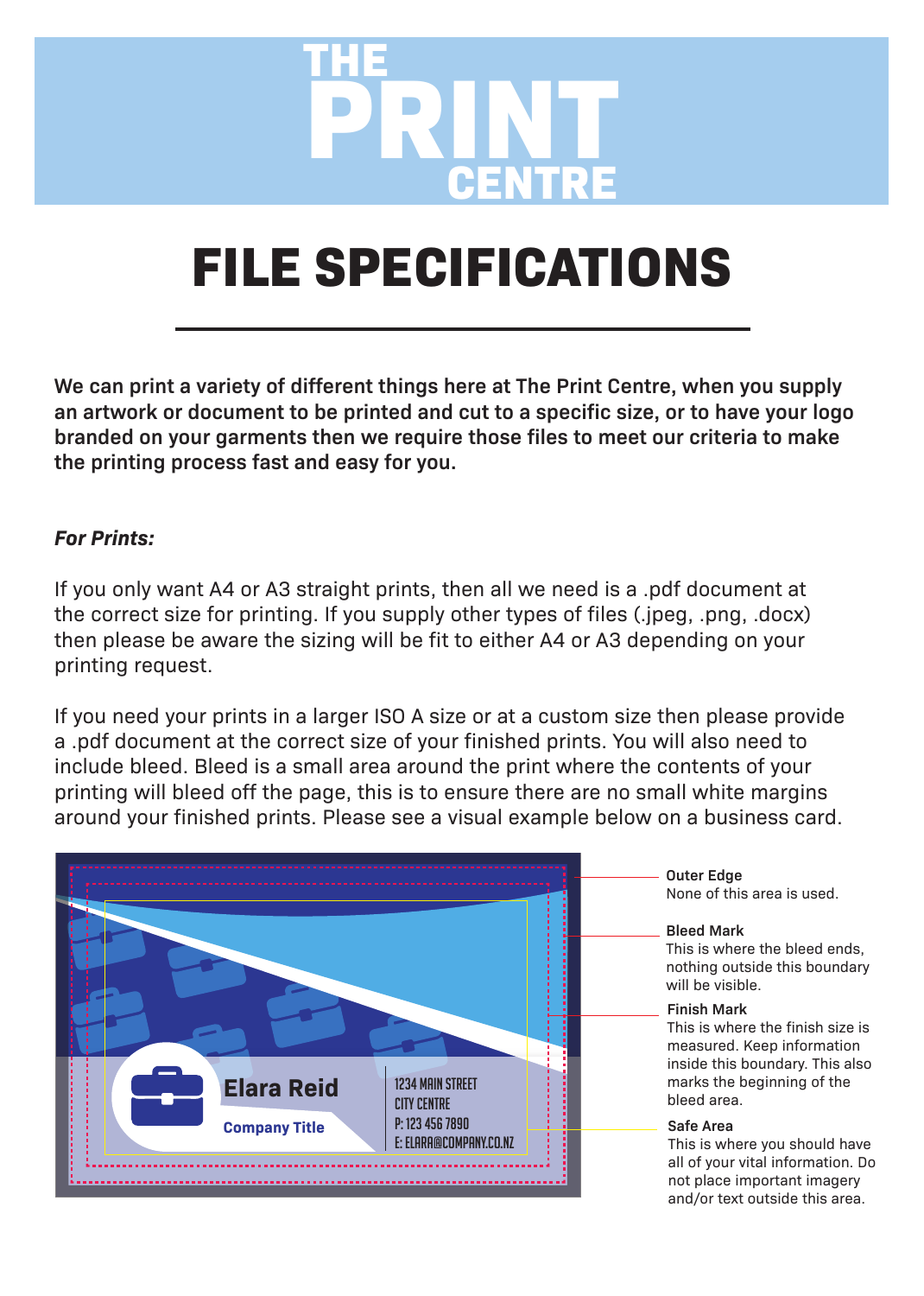

## **FILE SPECIFICATIONS**

**We can print a variety of different things here at The Print Centre, when you supply an artwork or document to be printed and cut to a specific size, or to have your logo branded on your garments then we require those files to meet our criteria to make the printing process fast and easy for you.**

## *For Prints:*

If you only want A4 or A3 straight prints, then all we need is a .pdf document at the correct size for printing. If you supply other types of files (.jpeg, .png, .docx) then please be aware the sizing will be fit to either A4 or A3 depending on your printing request.

If you need your prints in a larger ISO A size or at a custom size then please provide a .pdf document at the correct size of your finished prints. You will also need to include bleed. Bleed is a small area around the print where the contents of your printing will bleed off the page, this is to ensure there are no small white margins around your finished prints. Please see a visual example below on a business card.